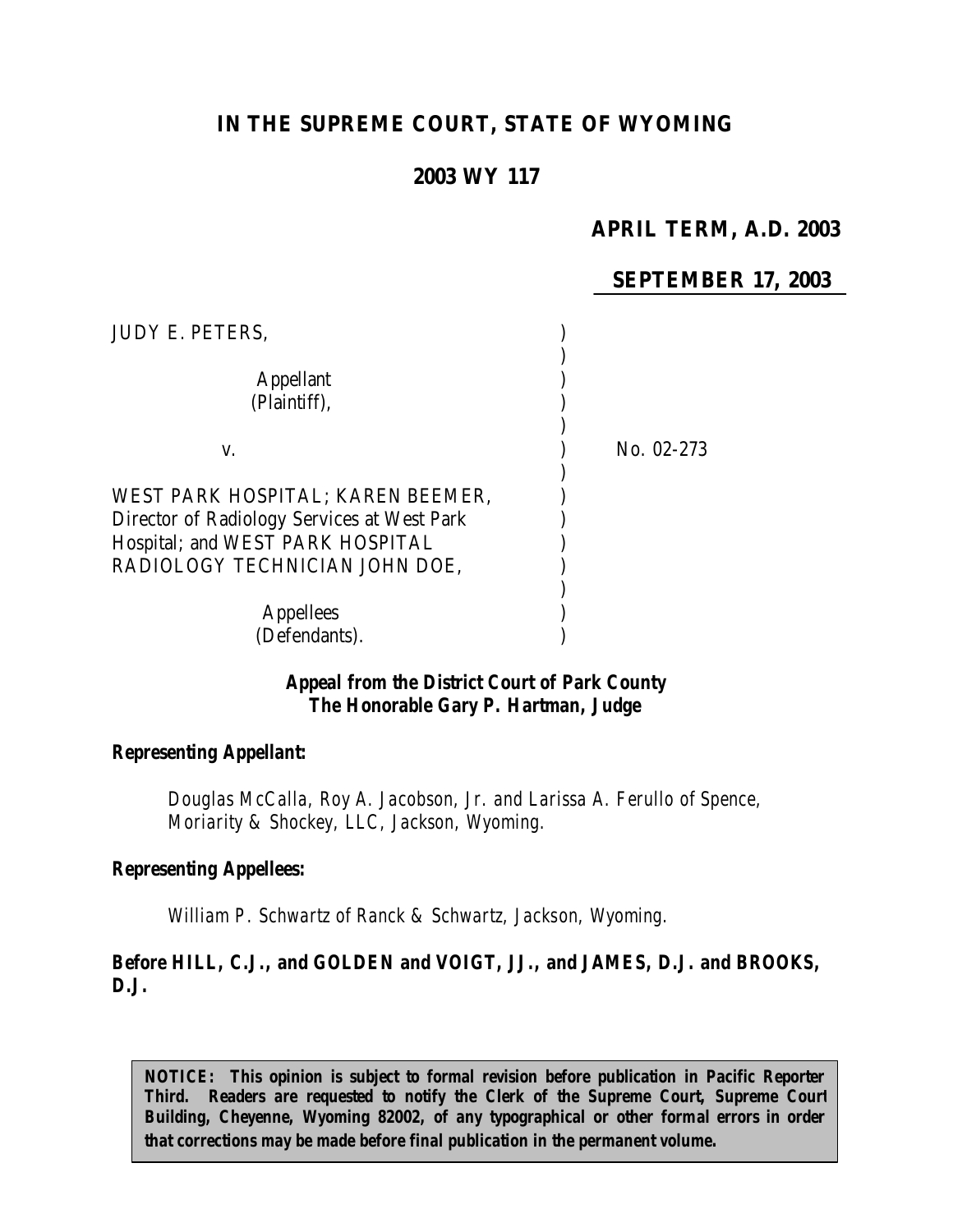# **IN THE SUPREME COURT, STATE OF WYOMING**

# **2003 WY 117**

# **APRIL TERM, A.D. 2003**

### **SEPTEMBER 17, 2003**

| <b>JUDY E. PETERS,</b>                                                          |            |
|---------------------------------------------------------------------------------|------------|
| Appellant<br>(Plaintiff),                                                       |            |
| V.                                                                              | No. 02-273 |
|                                                                                 |            |
| WEST PARK HOSPITAL; KAREN BEEMER,                                               |            |
| Director of Radiology Services at West Park<br>Hospital; and WEST PARK HOSPITAL |            |
| RADIOLOGY TECHNICIAN JOHN DOE,                                                  |            |
| <b>Appellees</b>                                                                |            |
| (Defendants).                                                                   |            |

#### *Appeal from the District Court of Park County The Honorable Gary P. Hartman, Judge*

#### *Representing Appellant:*

*Douglas McCalla, Roy A. Jacobson, Jr. and Larissa A. Ferullo of Spence, Moriarity & Shockey, LLC, Jackson, Wyoming.*

#### *Representing Appellees:*

*William P. Schwartz of Ranck & Schwartz, Jackson, Wyoming.*

### *Before HILL, C.J., and GOLDEN and VOIGT, JJ., and JAMES, D.J. and BROOKS, D.J.*

*NOTICE: This opinion is subject to formal revision before publication in Pacific Reporter Third. Readers are requested to notify the Clerk of the Supreme Court, Supreme Court Building, Cheyenne, Wyoming 82002, of any typographical or other formal errors in order that corrections may be made before final publication in the permanent volume.*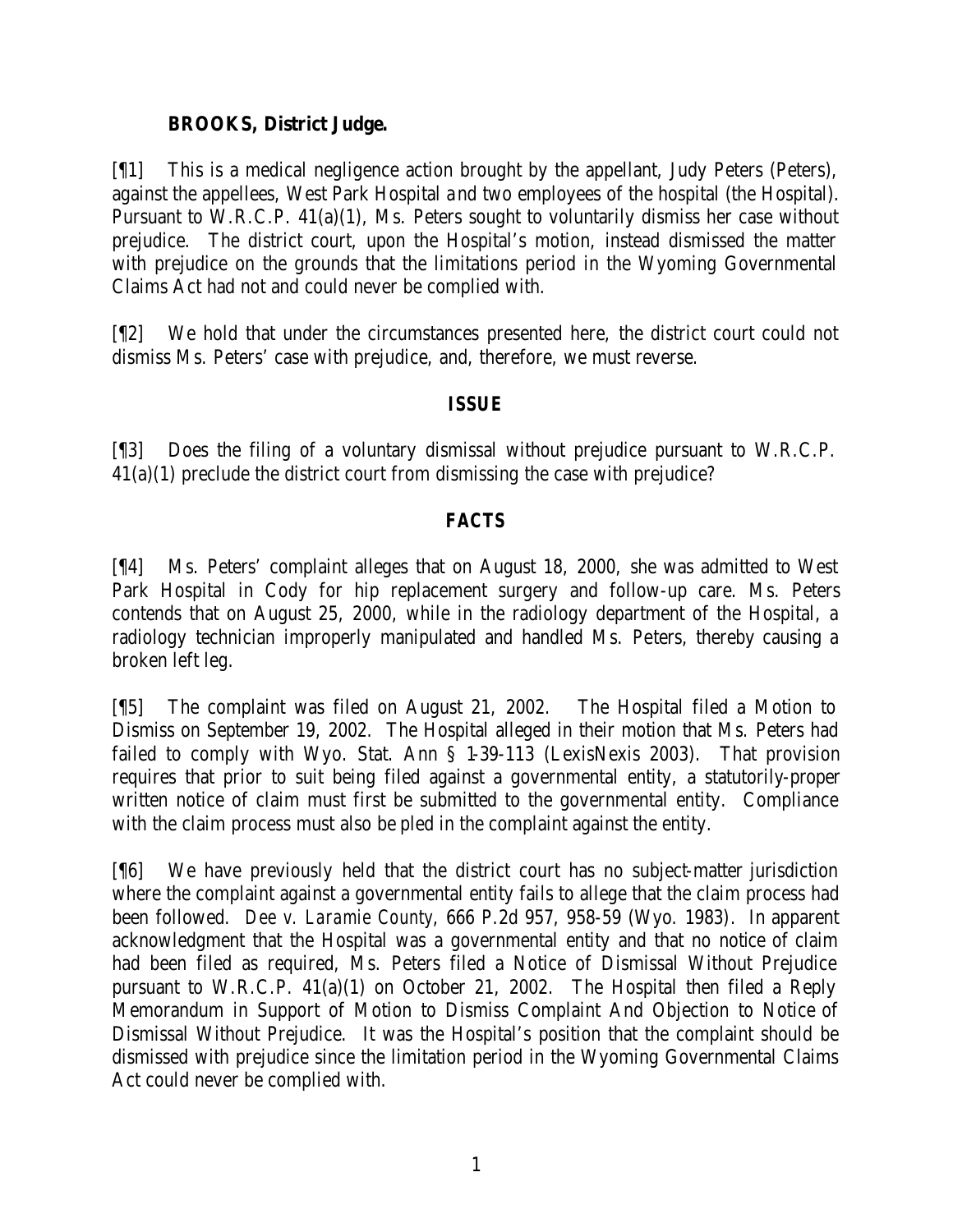### **BROOKS, District Judge.**

[¶1] This is a medical negligence action brought by the appellant, Judy Peters (Peters), against the appellees, West Park Hospital and two employees of the hospital (the Hospital). Pursuant to W.R.C.P. 41(a)(1), Ms. Peters sought to voluntarily dismiss her case without prejudice. The district court, upon the Hospital's motion, instead dismissed the matter with prejudice on the grounds that the limitations period in the Wyoming Governmental Claims Act had not and could never be complied with.

[¶2] We hold that under the circumstances presented here, the district court could not dismiss Ms. Peters' case with prejudice, and, therefore, we must reverse.

### *ISSUE*

[¶3] Does the filing of a voluntary dismissal without prejudice pursuant to W.R.C.P. 41(a)(1) preclude the district court from dismissing the case with prejudice?

# *FACTS*

[¶4] Ms. Peters' complaint alleges that on August 18, 2000, she was admitted to West Park Hospital in Cody for hip replacement surgery and follow-up care. Ms. Peters contends that on August 25, 2000, while in the radiology department of the Hospital, a radiology technician improperly manipulated and handled Ms. Peters, thereby causing a broken left leg.

[¶5] The complaint was filed on August 21, 2002. The Hospital filed a Motion to Dismiss on September 19, 2002. The Hospital alleged in their motion that Ms. Peters had failed to comply with Wyo. Stat. Ann § 1-39-113 (LexisNexis 2003). That provision requires that prior to suit being filed against a governmental entity, a statutorily-proper written notice of claim must first be submitted to the governmental entity. Compliance with the claim process must also be pled in the complaint against the entity.

[¶6] We have previously held that the district court has no subject-matter jurisdiction where the complaint against a governmental entity fails to allege that the claim process had been followed. *Dee v. Laramie County*, 666 P.2d 957, 958-59 (Wyo. 1983). In apparent acknowledgment that the Hospital was a governmental entity and that no notice of claim had been filed as required, Ms. Peters filed a Notice of Dismissal Without Prejudice pursuant to W.R.C.P. 41(a)(1) on October 21, 2002. The Hospital then filed a Reply Memorandum in Support of Motion to Dismiss Complaint And Objection to Notice of Dismissal Without Prejudice. It was the Hospital's position that the complaint should be dismissed with prejudice since the limitation period in the Wyoming Governmental Claims Act could never be complied with.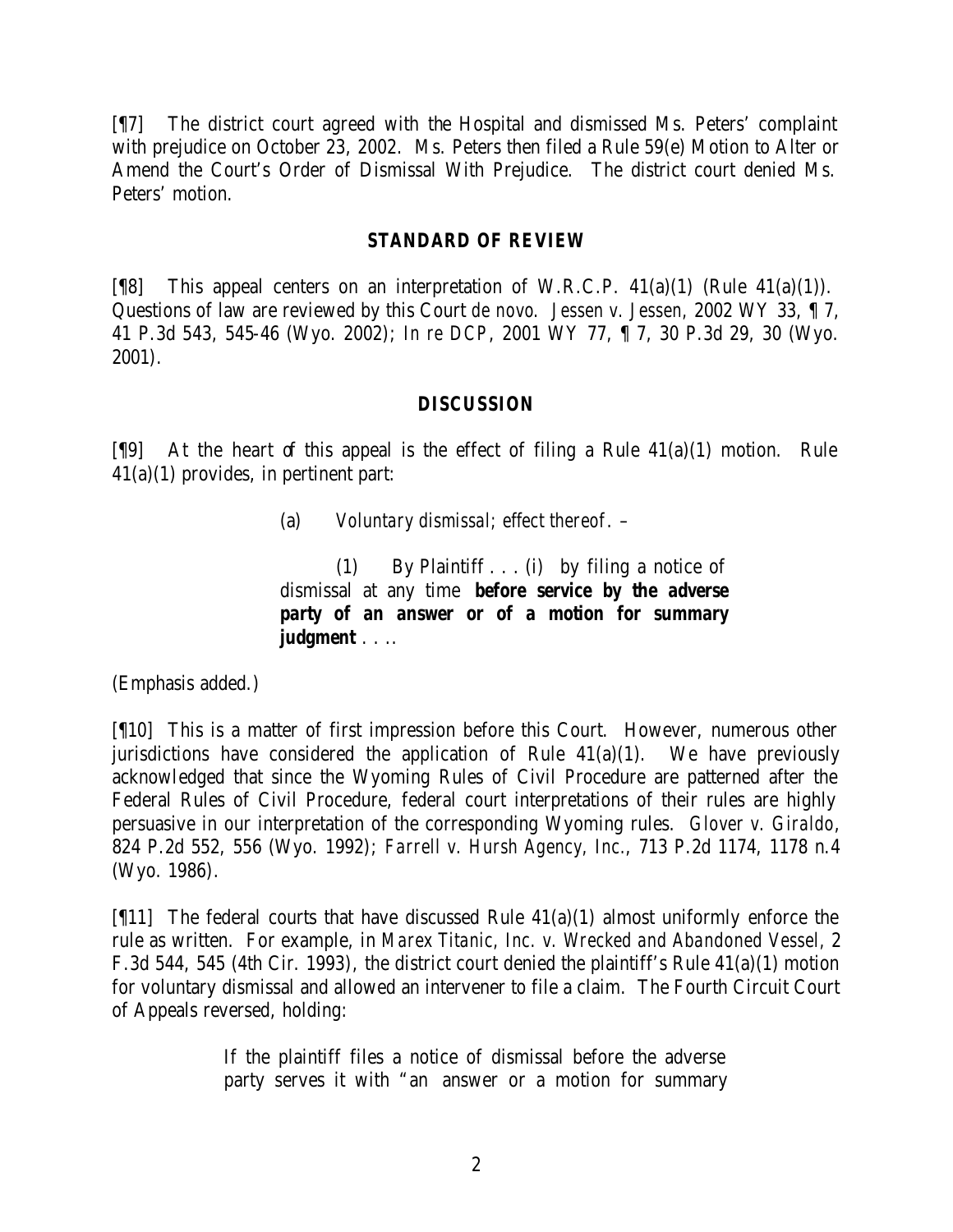[¶7] The district court agreed with the Hospital and dismissed Ms. Peters' complaint with prejudice on October 23, 2002. Ms. Peters then filed a Rule 59(e) Motion to Alter or Amend the Court's Order of Dismissal With Prejudice. The district court denied Ms. Peters' motion.

#### *STANDARD OF REVIEW*

[ $[$ [8] This appeal centers on an interpretation of W.R.C.P. 41(a)(1) (Rule 41(a)(1)). Questions of law are reviewed by this Court *de novo*. *Jessen v. Jessen,* 2002 WY 33, ¶ 7, 41 P.3d 543, 545-46 (Wyo. 2002); *In re DCP*, 2001 WY 77, ¶ 7, 30 P.3d 29, 30 (Wyo. 2001).

### *DISCUSSION*

 $[$ [9] At the heart of this appeal is the effect of filing a Rule 41(a)(1) motion. Rule 41(a)(1) provides, in pertinent part:

(1) By Plaintiff . . . (i) by filing a notice of dismissal at any time *before service by the adverse party of an answer or of a motion for summary judgment* . . ..

(Emphasis added.)

[¶10] This is a matter of first impression before this Court. However, numerous other jurisdictions have considered the application of Rule  $41(a)(1)$ . We have previously acknowledged that since the Wyoming Rules of Civil Procedure are patterned after the Federal Rules of Civil Procedure, federal court interpretations of their rules are highly persuasive in our interpretation of the corresponding Wyoming rules. *Glover v. Giraldo*, 824 P.2d 552, 556 (Wyo. 1992); *Farrell v. Hursh Agency, Inc.*, 713 P.2d 1174, 1178 n.4 (Wyo. 1986).

[ $[11]$ ] The federal courts that have discussed Rule 41(a)(1) almost uniformly enforce the rule as written. For example, in *Marex Titanic, Inc. v. Wrecked and Abandoned Vessel,* 2 F.3d 544, 545 (4th Cir. 1993), the district court denied the plaintiff's Rule 41(a)(1) motion for voluntary dismissal and allowed an intervener to file a claim. The Fourth Circuit Court of Appeals reversed, holding:

> If the plaintiff files a notice of dismissal before the adverse party serves it with "an answer or a motion for summary

<sup>(</sup>a) *Voluntary dismissal; effect thereof*. –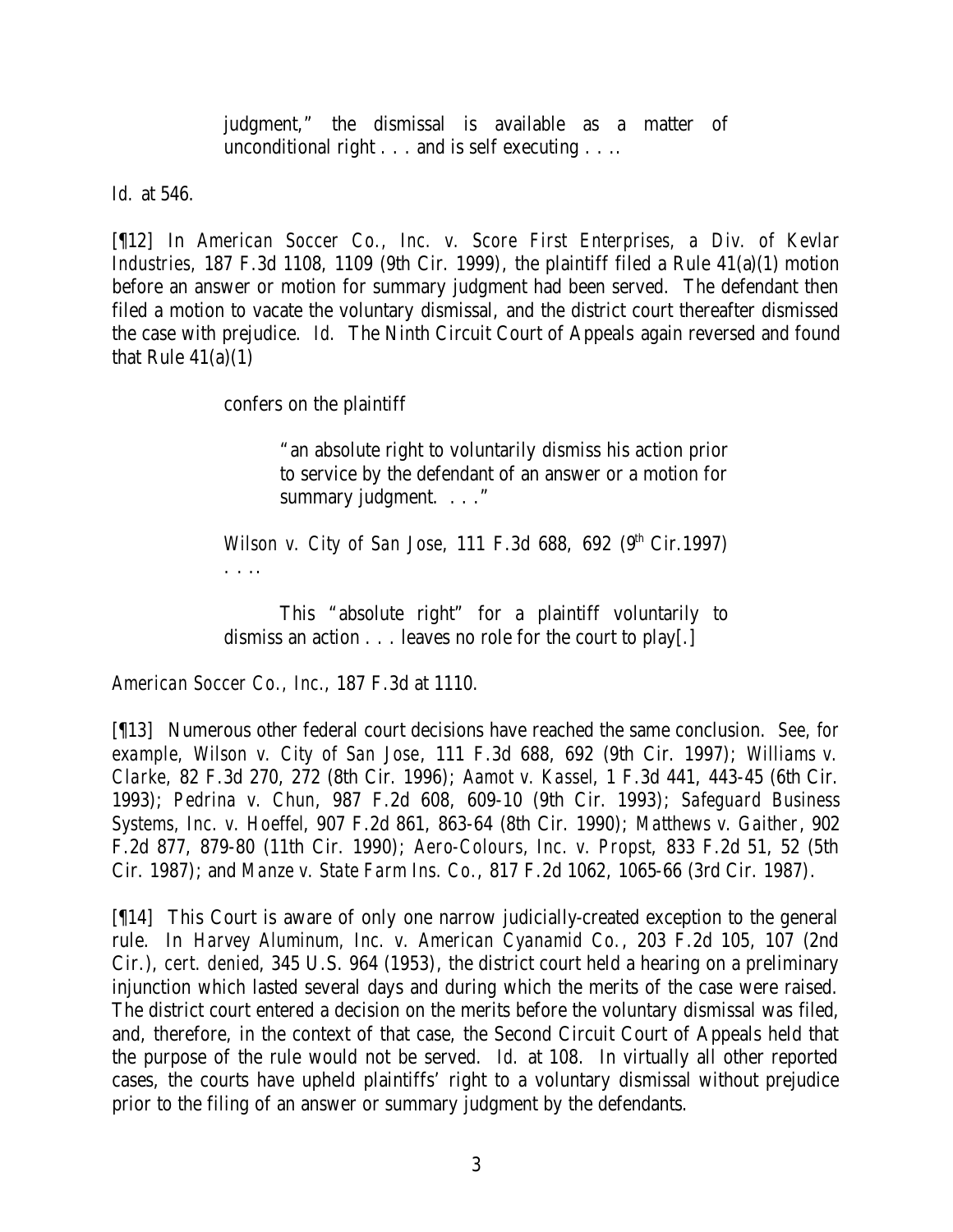judgment," the dismissal is available as a matter of unconditional right . . . and is self executing . . ..

*Id.* at 546.

[¶12] In *American Soccer Co., Inc. v. Score First Enterprises, a Div. of Kevlar Industries,* 187 F.3d 1108, 1109 (9th Cir. 1999), the plaintiff filed a Rule 41(a)(1) motion before an answer or motion for summary judgment had been served. The defendant then filed a motion to vacate the voluntary dismissal, and the district court thereafter dismissed the case with prejudice. *Id.* The Ninth Circuit Court of Appeals again reversed and found that Rule  $41(a)(1)$ 

confers on the plaintiff

"an absolute right to voluntarily dismiss his action prior to service by the defendant of an answer or a motion for summary judgment. . . ."

*Wilson v. City of San Jose*, 111 F.3d 688, 692 (9<sup>th</sup> Cir.1997) . . ..

This "absolute right" for a plaintiff voluntarily to dismiss an action . . . leaves no role for the court to play[.]

*American Soccer Co., Inc.*, 187 F.3d at 1110.

[¶13] Numerous other federal court decisions have reached the same conclusion. *See, for example, Wilson v. City of San Jose*, 111 F.3d 688, 692 (9th Cir. 1997); *Williams v. Clarke,* 82 F.3d 270, 272 (8th Cir. 1996); *Aamot v. Kassel*, 1 F.3d 441, 443-45 (6th Cir. 1993); *Pedrina v. Chun*, 987 F.2d 608, 609-10 (9th Cir. 1993); *Safeguard Business Systems, Inc. v. Hoeffel*, 907 F.2d 861, 863-64 (8th Cir. 1990); *Matthews v. Gaither*, 902 F.2d 877, 879-80 (11th Cir. 1990); *Aero-Colours, Inc. v. Propst*, 833 F.2d 51, 52 (5th Cir. 1987); and *Manze v. State Farm Ins. Co.*, 817 F.2d 1062, 1065-66 (3rd Cir. 1987).

[¶14] This Court is aware of only one narrow judicially-created exception to the general rule. In *Harvey Aluminum, Inc. v. American Cyanamid Co.*, 203 F.2d 105, 107 (2nd Cir.), *cert. denied*, 345 U.S. 964 (1953), the district court held a hearing on a preliminary injunction which lasted several days and during which the merits of the case were raised. The district court entered a decision on the merits before the voluntary dismissal was filed, and, therefore, in the context of that case, the Second Circuit Court of Appeals held that the purpose of the rule would not be served. *Id.* at 108. In virtually all other reported cases, the courts have upheld plaintiffs' right to a voluntary dismissal without prejudice prior to the filing of an answer or summary judgment by the defendants.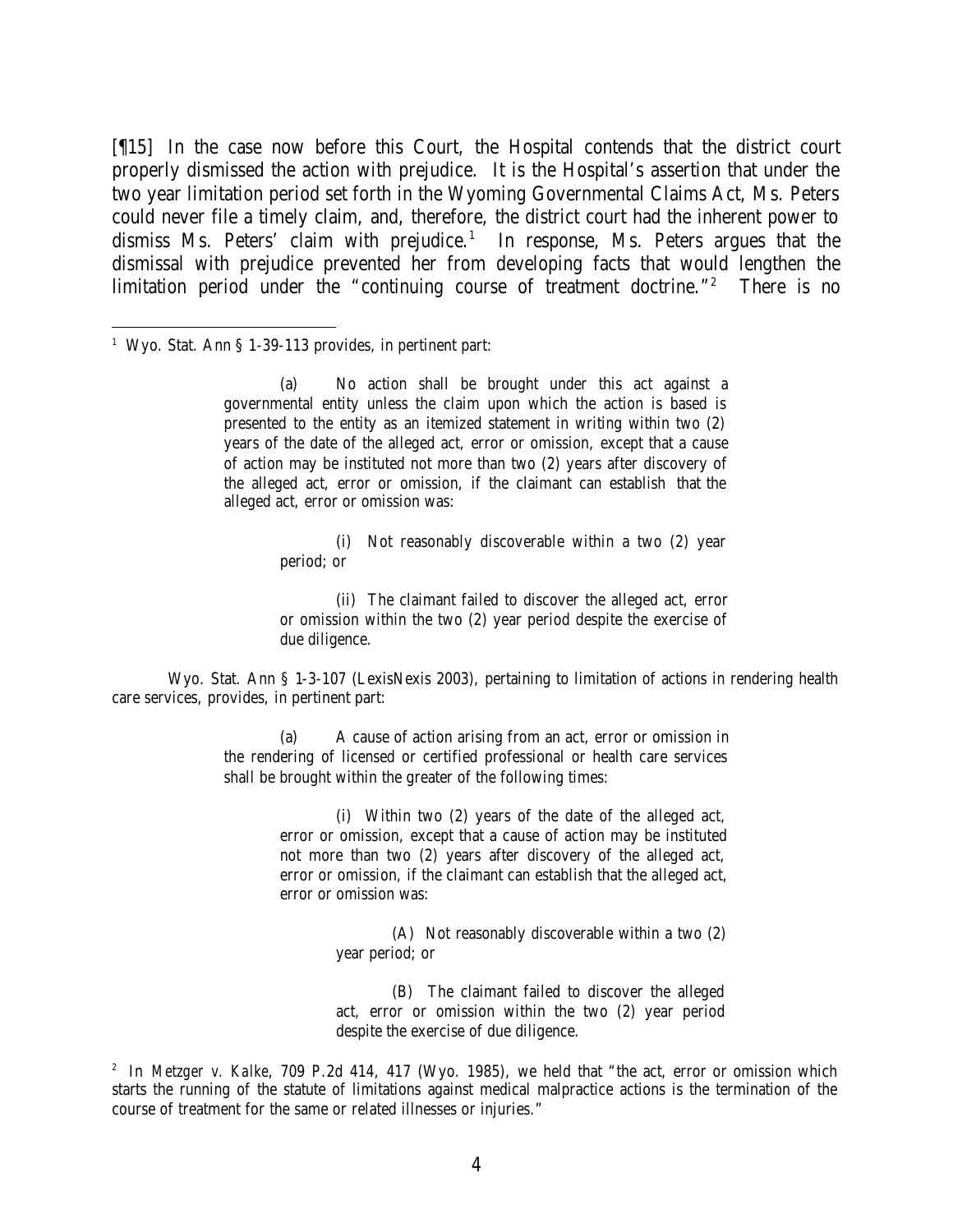[¶15] In the case now before this Court, the Hospital contends that the district court properly dismissed the action with prejudice. It is the Hospital's assertion that under the two year limitation period set forth in the Wyoming Governmental Claims Act, Ms. Peters could never file a timely claim, and, therefore, the district court had the inherent power to dismiss Ms. Peters' claim with prejudice.<sup>1</sup> In response, Ms. Peters argues that the dismissal with prejudice prevented her from developing facts that would lengthen the limitation period under the "continuing course of treatment doctrine."<sup>2</sup> There is no

#### <sup>1</sup> Wyo. Stat. Ann § 1-39-113 provides, in pertinent part:

(a) No action shall be brought under this act against a governmental entity unless the claim upon which the action is based is presented to the entity as an itemized statement in writing within two (2) years of the date of the alleged act, error or omission, except that a cause of action may be instituted not more than two (2) years after discovery of the alleged act, error or omission, if the claimant can establish that the alleged act, error or omission was:

> (i) Not reasonably discoverable within a two (2) year period; or

> (ii) The claimant failed to discover the alleged act, error or omission within the two (2) year period despite the exercise of due diligence.

Wyo. Stat. Ann § 1-3-107 (LexisNexis 2003), pertaining to limitation of actions in rendering health care services, provides, in pertinent part:

> (a) A cause of action arising from an act, error or omission in the rendering of licensed or certified professional or health care services shall be brought within the greater of the following times:

> > (i) Within two (2) years of the date of the alleged act, error or omission, except that a cause of action may be instituted not more than two (2) years after discovery of the alleged act, error or omission, if the claimant can establish that the alleged act, error or omission was:

> > > (A) Not reasonably discoverable within a two (2) year period; or

> > > (B) The claimant failed to discover the alleged act, error or omission within the two (2) year period despite the exercise of due diligence.

<sup>&</sup>lt;sup>2</sup> In *Metzger v. Kalke*, 709 P.2d 414, 417 (Wyo. 1985), we held that "the act, error or omission which starts the running of the statute of limitations against medical malpractice actions is the termination of the course of treatment for the same or related illnesses or injuries."